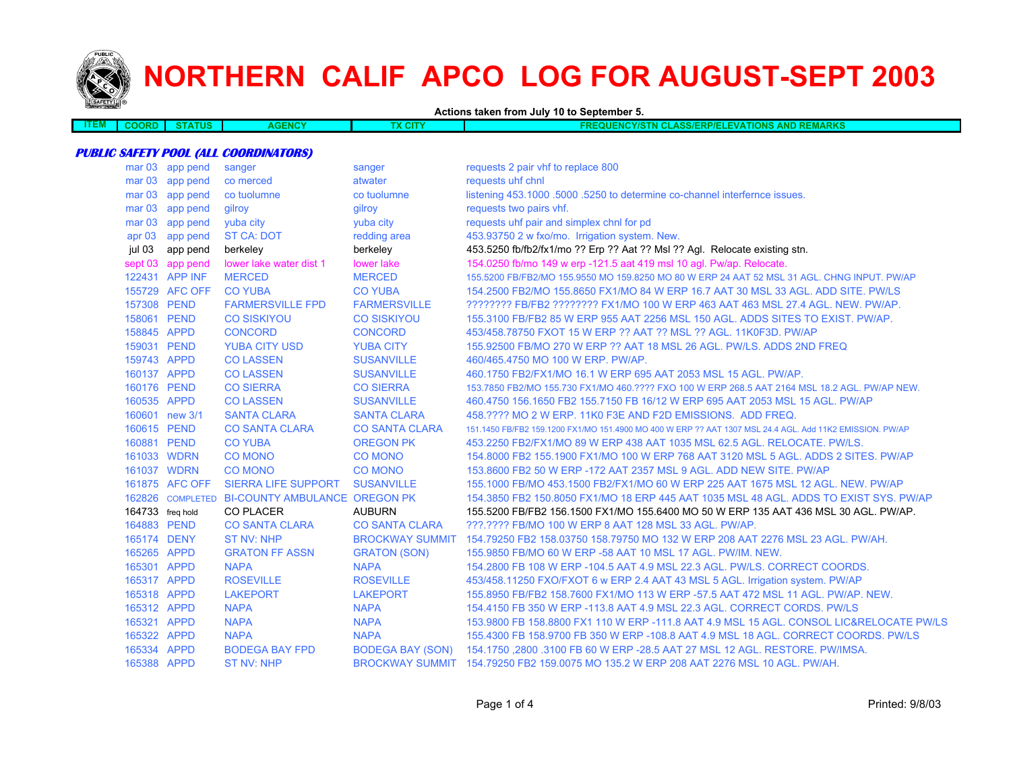

 $\overline{\phantom{a}}$ 

# **NORTHERN CALIF APCO LOG FOR AUGUST-SEPT 2003**

**Actions taken from July 10 to September 5.**

| <b>THEM.</b> | nori | <b>TATUS</b> | <b>ENCY</b><br>AG | <b>The State</b> | <b>REMARKS</b><br>AND<br>Eור<br>arvr<br><b>ASS/ERP/E</b><br>---<br><b>TIONS</b><br>$-1$<br>M<br>EIVL I |
|--------------|------|--------------|-------------------|------------------|--------------------------------------------------------------------------------------------------------|
|              |      |              |                   |                  |                                                                                                        |

### **PUBLIC SAFETY POOL (ALL COORDINATORS)**

| mar <sub>03</sub> | app pend         | sanger                                         | sanger                  | requests 2 pair vhf to replace 800                                                                       |
|-------------------|------------------|------------------------------------------------|-------------------------|----------------------------------------------------------------------------------------------------------|
| mar <sub>03</sub> | app pend         | co merced                                      | atwater                 | requests uhf chnl                                                                                        |
| mar <sub>03</sub> | app pend         | co tuolumne                                    | co tuolumne             | listening 453.1000 .5000 .5250 to determine co-channel interfernce issues.                               |
| mar <sub>03</sub> | app pend         | gilroy                                         | gilroy                  | requests two pairs vhf.                                                                                  |
| mar <sub>03</sub> | app pend         | yuba city                                      | yuba city               | requests uhf pair and simplex chnl for pd                                                                |
| apr <sub>03</sub> | app pend         | <b>ST CA: DOT</b>                              | redding area            | 453.93750 2 w fxo/mo. Irrigation system. New.                                                            |
| jul 03            | app pend         | berkeley                                       | berkeley                | 453.5250 fb/fb2/fx1/mo ?? Erp ?? Aat ?? Msl ?? Agl. Relocate existing stn.                               |
|                   | sept 03 app pend | lower lake water dist 1                        | lower lake              | 154.0250 fb/mo 149 w erp -121.5 aat 419 msl 10 agl. Pw/ap. Relocate.                                     |
|                   | 122431 APP INF   | <b>MERCED</b>                                  | <b>MERCED</b>           | 155,5200 FB/FB2/MO 155,9550 MO 159,8250 MO 80 W ERP 24 AAT 52 MSL 31 AGL, CHNG INPUT, PW/AP              |
|                   | 155729 AFC OFF   | <b>CO YUBA</b>                                 | <b>CO YUBA</b>          | 154.2500 FB2/MO 155.8650 FX1/MO 84 W ERP 16.7 AAT 30 MSL 33 AGL, ADD SITE, PW/LS                         |
| 157308 PEND       |                  | <b>FARMERSVILLE FPD</b>                        | <b>FARMERSVILLE</b>     | ???????? FB/FB2 ???????? FX1/MO 100 W ERP 463 AAT 463 MSL 27.4 AGL. NEW. PW/AP.                          |
| 158061 PEND       |                  | <b>CO SISKIYOU</b>                             | <b>CO SISKIYOU</b>      | 155.3100 FB/FB2 85 W ERP 955 AAT 2256 MSL 150 AGL. ADDS SITES TO EXIST. PW/AP.                           |
| 158845 APPD       |                  | <b>CONCORD</b>                                 | <b>CONCORD</b>          | 453/458.78750 FXOT 15 W ERP ?? AAT ?? MSL ?? AGL, 11K0F3D, PW/AP                                         |
| 159031 PEND       |                  | <b>YUBA CITY USD</b>                           | <b>YUBA CITY</b>        | 155,92500 FB/MO 270 W ERP ?? AAT 18 MSL 26 AGL, PW/LS, ADDS 2ND FREQ                                     |
| 159743 APPD       |                  | <b>CO LASSEN</b>                               | <b>SUSANVILLE</b>       | 460/465.4750 MO 100 W ERP. PW/AP.                                                                        |
| 160137 APPD       |                  | <b>CO LASSEN</b>                               | <b>SUSANVILLE</b>       | 460.1750 FB2/FX1/MO 16.1 W ERP 695 AAT 2053 MSL 15 AGL, PW/AP.                                           |
| 160176 PEND       |                  | <b>CO SIERRA</b>                               | <b>CO SIERRA</b>        | 153.7850 FB2/MO 155.730 FX1/MO 460.???? FXO 100 W ERP 268.5 AAT 2164 MSL 18.2 AGL. PW/AP NEW.            |
| 160535 APPD       |                  | <b>CO LASSEN</b>                               | <b>SUSANVILLE</b>       | 460.4750 156.1650 FB2 155.7150 FB 16/12 W ERP 695 AAT 2053 MSL 15 AGL. PW/AP                             |
|                   | 160601 new 3/1   | <b>SANTA CLARA</b>                             | <b>SANTA CLARA</b>      | 458.???? MO 2 W ERP. 11K0 F3E AND F2D EMISSIONS. ADD FREQ.                                               |
| 160615 PEND       |                  | <b>CO SANTA CLARA</b>                          | <b>CO SANTA CLARA</b>   | 151.1450 FB/FB2 159.1200 FX1/MO 151.4900 MO 400 W ERP ?? AAT 1307 MSL 24.4 AGL. Add 11K2 EMISSION. PW/AP |
|                   | 160881 PEND      | <b>CO YUBA</b>                                 | <b>OREGON PK</b>        | 453.2250 FB2/FX1/MO 89 W ERP 438 AAT 1035 MSL 62.5 AGL, RELOCATE, PW/LS.                                 |
|                   | 161033 WDRN      | <b>CO MONO</b>                                 | <b>CO MONO</b>          | 154,8000 FB2 155,1900 FX1/MO 100 W ERP 768 AAT 3120 MSL 5 AGL, ADDS 2 SITES, PW/AP                       |
|                   | 161037 WDRN      | <b>CO MONO</b>                                 | <b>CO MONO</b>          | 153,8600 FB2 50 W ERP -172 AAT 2357 MSL 9 AGL, ADD NEW SITE, PW/AP                                       |
|                   | 161875 AFC OFF   | <b>SIERRA LIFE SUPPORT</b>                     | <b>SUSANVILLE</b>       | 155.1000 FB/MO 453.1500 FB2/FX1/MO 60 W ERP 225 AAT 1675 MSL 12 AGL, NEW, PW/AP                          |
|                   |                  | 162826 COMPLETED BI-COUNTY AMBULANCE OREGON PK |                         | 154,3850 FB2 150,8050 FX1/MO 18 ERP 445 AAT 1035 MSL 48 AGL. ADDS TO EXIST SYS, PW/AP                    |
|                   | 164733 freq hold | <b>CO PLACER</b>                               | <b>AUBURN</b>           | 155.5200 FB/FB2 156.1500 FX1/MO 155.6400 MO 50 W ERP 135 AAT 436 MSL 30 AGL. PW/AP.                      |
| 164883 PEND       |                  | <b>CO SANTA CLARA</b>                          | <b>CO SANTA CLARA</b>   | ???.???? FB/MO 100 W ERP 8 AAT 128 MSL 33 AGL. PW/AP.                                                    |
| 165174 DENY       |                  | <b>ST NV: NHP</b>                              | <b>BROCKWAY SUMMIT</b>  | 154.79250 FB2 158.03750 158.79750 MO 132 W ERP 208 AAT 2276 MSL 23 AGL. PW/AH.                           |
| 165265 APPD       |                  | <b>GRATON FF ASSN</b>                          | <b>GRATON (SON)</b>     | 155.9850 FB/MO 60 W ERP -58 AAT 10 MSL 17 AGL. PW/IM. NEW.                                               |
| 165301 APPD       |                  | <b>NAPA</b>                                    | <b>NAPA</b>             | 154.2800 FB 108 W ERP -104.5 AAT 4.9 MSL 22.3 AGL. PW/LS. CORRECT COORDS.                                |
| 165317 APPD       |                  | <b>ROSEVILLE</b>                               | <b>ROSEVILLE</b>        | 453/458.11250 FXO/FXOT 6 w ERP 2.4 AAT 43 MSL 5 AGL. Irrigation system. PW/AP                            |
| 165318 APPD       |                  | <b>LAKEPORT</b>                                | <b>LAKEPORT</b>         | 155,8950 FB/FB2 158,7600 FX1/MO 113 W ERP -57.5 AAT 472 MSL 11 AGL, PW/AP, NEW.                          |
| 165312 APPD       |                  | <b>NAPA</b>                                    | <b>NAPA</b>             | 154.4150 FB 350 W ERP -113.8 AAT 4.9 MSL 22.3 AGL. CORRECT CORDS. PW/LS                                  |
| 165321 APPD       |                  | <b>NAPA</b>                                    | <b>NAPA</b>             | 153.9800 FB 158.8800 FX1 110 W ERP -111.8 AAT 4.9 MSL 15 AGL. CONSOL LIC&RELOCATE PW/LS                  |
| 165322 APPD       |                  | <b>NAPA</b>                                    | <b>NAPA</b>             | 155.4300 FB 158.9700 FB 350 W ERP -108.8 AAT 4.9 MSL 18 AGL. CORRECT COORDS. PW/LS                       |
| 165334 APPD       |                  | <b>BODEGA BAY FPD</b>                          | <b>BODEGA BAY (SON)</b> | 154.1750 ,2800 .3100 FB 60 W ERP -28.5 AAT 27 MSL 12 AGL. RESTORE. PW/IMSA.                              |
| 165388 APPD       |                  | <b>ST NV: NHP</b>                              |                         | BROCKWAY SUMMIT 154.79250 FB2 159.0075 MO 135.2 W ERP 208 AAT 2276 MSL 10 AGL, PW/AH.                    |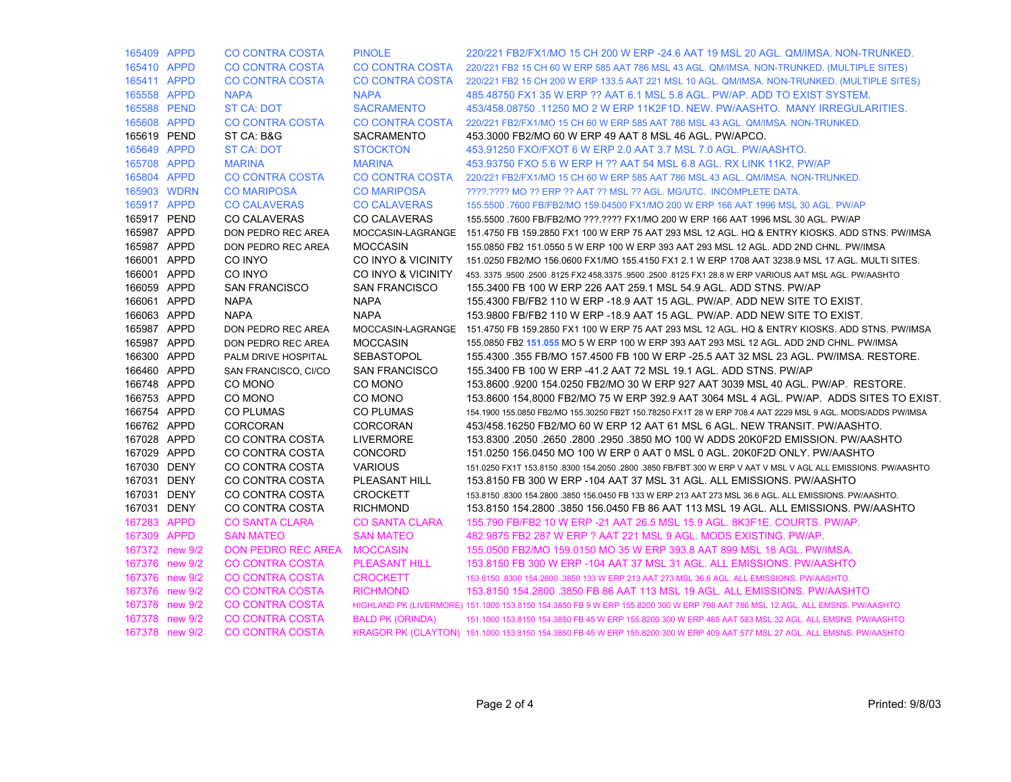| 165409 APPD |                    | CO CONTRA COSTA           | <b>PINOLE</b>           | 220/221 FB2/FX1/MO 15 CH 200 W ERP -24.6 AAT 19 MSL 20 AGL. QM/IMSA, NON-TRUNKED.                                             |
|-------------|--------------------|---------------------------|-------------------------|-------------------------------------------------------------------------------------------------------------------------------|
| 165410 APPD |                    | <b>CO CONTRA COSTA</b>    | <b>CO CONTRA COSTA</b>  | 220/221 FB2 15 CH 60 W ERP 585 AAT 786 MSL 43 AGL. QM/IMSA, NON-TRUNKED, (MULTIPLE SITES)                                     |
| 165411 APPD |                    | <b>CO CONTRA COSTA</b>    | <b>CO CONTRA COSTA</b>  | 220/221 FB2 15 CH 200 W ERP 133.5 AAT 221 MSL 10 AGL. QM/IMSA. NON-TRUNKED. (MULTIPLE SITES)                                  |
| 165558 APPD |                    | <b>NAPA</b>               | <b>NAPA</b>             | 485,48750 FX1 35 W ERP ?? AAT 6.1 MSL 5.8 AGL, PW/AP, ADD TO EXIST SYSTEM.                                                    |
| 165588 PEND |                    | <b>ST CA: DOT</b>         | <b>SACRAMENTO</b>       | 453/458.08750 .11250 MO 2 W ERP 11K2F1D. NEW. PW/AASHTO. MANY IRREGULARITIES.                                                 |
| 165608 APPD |                    | <b>CO CONTRA COSTA</b>    | <b>CO CONTRA COSTA</b>  | 220/221 FB2/FX1/MO 15 CH 60 W ERP 585 AAT 786 MSL 43 AGL, QM/IMSA, NON-TRUNKED.                                               |
| 165619 PEND |                    | ST CA: B&G                | <b>SACRAMENTO</b>       | 453,3000 FB2/MO 60 W ERP 49 AAT 8 MSL 46 AGL, PW/APCO.                                                                        |
| 165649 APPD |                    | <b>ST CA: DOT</b>         | <b>STOCKTON</b>         | 453.91250 FXO/FXOT 6 W ERP 2.0 AAT 3.7 MSL 7.0 AGL. PW/AASHTO.                                                                |
| 165708 APPD |                    | <b>MARINA</b>             | <b>MARINA</b>           | 453.93750 FXO 5.6 W ERP H ?? AAT 54 MSL 6.8 AGL. RX LINK 11K2, PW/AP                                                          |
| 165804 APPD |                    | <b>CO CONTRA COSTA</b>    | <b>CO CONTRA COSTA</b>  | 220/221 FB2/FX1/MO 15 CH 60 W ERP 585 AAT 786 MSL 43 AGL. QM/IMSA. NON-TRUNKED.                                               |
| 165903 WDRN |                    | <b>CO MARIPOSA</b>        | <b>CO MARIPOSA</b>      | ????.???? MO ?? ERP ?? AAT ?? MSL ?? AGL. MG/UTC. INCOMPLETE DATA.                                                            |
| 165917 APPD |                    | <b>CO CALAVERAS</b>       | <b>CO CALAVERAS</b>     | 155.5500 .7600 FB/FB2/MO 159.04500 FX1/MO 200 W ERP 166 AAT 1996 MSL 30 AGL. PW/AP                                            |
| 165917 PEND |                    | <b>CO CALAVERAS</b>       | <b>CO CALAVERAS</b>     | 155.5500 .7600 FB/FB2/MO ???.???? FX1/MO 200 W ERP 166 AAT 1996 MSL 30 AGL. PW/AP                                             |
| 165987 APPD |                    | DON PEDRO REC AREA        | MOCCASIN-LAGRANGE       | 151.4750 FB 159.2850 FX1 100 W ERP 75 AAT 293 MSL 12 AGL. HQ & ENTRY KIOSKS. ADD STNS. PW/IMSA                                |
| 165987 APPD |                    | DON PEDRO REC AREA        | <b>MOCCASIN</b>         | 155.0850 FB2 151.0550 5 W ERP 100 W ERP 393 AAT 293 MSL 12 AGL. ADD 2ND CHNL. PW/IMSA                                         |
| 166001 APPD |                    | CO INYO                   | CO INYO & VICINITY      | 151.0250 FB2/MO 156.0600 FX1/MO 155.4150 FX1 2.1 W ERP 1708 AAT 3238.9 MSL 17 AGL. MULTI SITES.                               |
| 166001 APPD |                    | CO INYO                   | CO INYO & VICINITY      | 453. 3375 .9500 .2500 .8125 FX2 458.3375 .9500 .2500 .8125 FX1 28.8 W ERP VARIOUS AAT MSL AGL. PW/AASHTO                      |
| 166059 APPD |                    | <b>SAN FRANCISCO</b>      | <b>SAN FRANCISCO</b>    | 155.3400 FB 100 W ERP 226 AAT 259.1 MSL 54.9 AGL. ADD STNS. PW/AP                                                             |
| 166061 APPD |                    | <b>NAPA</b>               | <b>NAPA</b>             | 155.4300 FB/FB2 110 W ERP -18.9 AAT 15 AGL. PW/AP. ADD NEW SITE TO EXIST.                                                     |
| 166063 APPD |                    | <b>NAPA</b>               | <b>NAPA</b>             | 153.9800 FB/FB2 110 W ERP -18.9 AAT 15 AGL. PW/AP. ADD NEW SITE TO EXIST.                                                     |
| 165987 APPD |                    | DON PEDRO REC AREA        |                         | MOCCASIN-LAGRANGE 151.4750 FB 159.2850 FX1 100 W ERP 75 AAT 293 MSL 12 AGL. HQ & ENTRY KIOSKS. ADD STNS. PW/IMSA              |
| 165987 APPD |                    | DON PEDRO REC AREA        | <b>MOCCASIN</b>         | 155.0850 FB2 151.055 MO 5 W ERP 100 W ERP 393 AAT 293 MSL 12 AGL. ADD 2ND CHNL. PW/IMSA                                       |
| 166300 APPD |                    | PALM DRIVE HOSPITAL       | <b>SEBASTOPOL</b>       | 155.4300 .355 FB/MO 157.4500 FB 100 W ERP -25.5 AAT 32 MSL 23 AGL. PW/IMSA. RESTORE.                                          |
| 166460 APPD |                    | SAN FRANCISCO, CI/CO      | <b>SAN FRANCISCO</b>    | 155.3400 FB 100 W ERP -41.2 AAT 72 MSL 19.1 AGL. ADD STNS. PW/AP                                                              |
| 166748 APPD |                    | CO MONO                   | CO MONO                 | 153.8600 .9200 154.0250 FB2/MO 30 W ERP 927 AAT 3039 MSL 40 AGL, PW/AP, RESTORE.                                              |
| 166753 APPD |                    | CO MONO                   | CO MONO                 | 153.8600 154,8000 FB2/MO 75 W ERP 392.9 AAT 3064 MSL 4 AGL. PW/AP. ADDS SITES TO EXIST.                                       |
| 166754 APPD |                    | <b>CO PLUMAS</b>          | <b>CO PLUMAS</b>        | 154.1900 155.0850 FB2/MO 155.30250 FB2T 150.78250 FX1T 28 W ERP 708.4 AAT 2229 MSL 9 AGL. MODS/ADDS PW/IMSA                   |
| 166762 APPD |                    | <b>CORCORAN</b>           | <b>CORCORAN</b>         | 453/458.16250 FB2/MO 60 W ERP 12 AAT 61 MSL 6 AGL. NEW TRANSIT. PW/AASHTO.                                                    |
| 167028 APPD |                    | CO CONTRA COSTA           | <b>LIVERMORE</b>        | 153.8300 .2050 .2650 .2800 .2950 .3850 MO 100 W ADDS 20K0F2D EMISSION. PW/AASHTO                                              |
| 167029 APPD |                    | CO CONTRA COSTA           | CONCORD                 | 151.0250 156.0450 MO 100 W ERP 0 AAT 0 MSL 0 AGL. 20K0F2D ONLY. PW/AASHTO                                                     |
| 167030 DENY |                    | CO CONTRA COSTA           | <b>VARIOUS</b>          | 151.0250 FX1T 153.8150 .8300 154.2050 .2800 .3850 FB/FBT 300 W ERP V AAT V MSL V AGL ALL EMISSIONS. PW/AASHTO                 |
| 167031 DENY |                    | CO CONTRA COSTA           | PLEASANT HILL           | 153.8150 FB 300 W ERP -104 AAT 37 MSL 31 AGL. ALL EMISSIONS. PW/AASHTO                                                        |
| 167031 DENY |                    | CO CONTRA COSTA           | <b>CROCKETT</b>         | 153.8150 .8300 154.2800 .3850 156.0450 FB 133 W ERP 213 AAT 273 MSL 36.6 AGL. ALL EMISSIONS. PW/AASHTO.                       |
| 167031 DENY |                    | CO CONTRA COSTA           | <b>RICHMOND</b>         | 153.8150 154.2800 .3850 156.0450 FB 86 AAT 113 MSL 19 AGL. ALL EMISSIONS. PW/AASHTO                                           |
| 167283 APPD |                    | <b>CO SANTA CLARA</b>     | <b>CO SANTA CLARA</b>   | 155.790 FB/FB2 10 W ERP -21 AAT 26.5 MSL 15.9 AGL. 8K3F1E. COURTS. PW/AP.                                                     |
| 167309 APPD |                    | <b>SAN MATEO</b>          | <b>SAN MATEO</b>        | 482.9875 FB2 287 W ERP ? AAT 221 MSL 9 AGL. MODS EXISTING. PW/AP.                                                             |
|             | 167372 new 9/2     | <b>DON PEDRO REC AREA</b> | <b>MOCCASIN</b>         | 155,0500 FB2/MO 159,0150 MO 35 W ERP 393.8 AAT 899 MSL 18 AGL, PW/IMSA.                                                       |
| 167376      | new <sub>9/2</sub> | <b>CO CONTRA COSTA</b>    | <b>PLEASANT HILL</b>    | 153.8150 FB 300 W ERP -104 AAT 37 MSL 31 AGL. ALL EMISSIONS. PW/AASHTO                                                        |
|             | 167376 new 9/2     | <b>CO CONTRA COSTA</b>    | <b>CROCKETT</b>         | 153.8150 .8300 154.2800 .3850 133 W ERP 213 AAT 273 MSL 36.6 AGL. ALL EMISSIONS. PW/AASHTO.                                   |
|             | 167376 new 9/2     | <b>CO CONTRA COSTA</b>    | <b>RICHMOND</b>         | 153.8150 154.2800 .3850 FB 86 AAT 113 MSL 19 AGL. ALL EMISSIONS. PW/AASHTO                                                    |
|             | 167378 new 9/2     | CO CONTRA COSTA           |                         | HIGHLAND PK (LIVERMORE) 151.1000 153.8150 154.3850 FB 9 W ERP 155.8200 300 W ERP 798 AAT 786 MSL 12 AGL. ALL EMSNS. PW/AASHTO |
| 167378      | new $9/2$          | CO CONTRA COSTA           | <b>BALD PK (ORINDA)</b> | 151.1000 153.8150 154.3850 FB 45 W ERP 155.8200 300 W ERP 485 AAT 583 MSL 32 AGL. ALL EMSNS. PW/AASHTO                        |
|             | 167378 new 9/2     | <b>CO CONTRA COSTA</b>    |                         | KRAGOR PK (CLAYTON) 151.1000 153.8150 154.3850 FB 45 W ERP 155.8200 300 W ERP 409 AAT 577 MSL 27 AGL. ALL EMSNS. PW/AASHTO    |